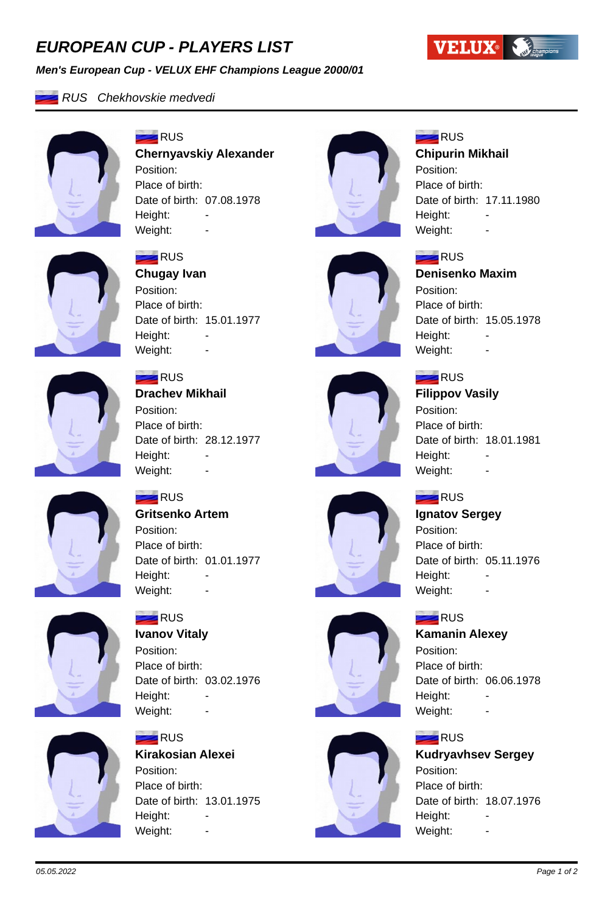# *EUROPEAN CUP - PLAYERS LIST*

#### *Men's European Cup - VELUX EHF Champions League 2000/01*



## *RUS Chekhovskie medvedi*



### $=$ RUS **Chernyavskiy Alexander** Position: Place of birth: Date of birth: 07.08.1978 Height: -Weight:



# **RUS**

**RUS** 

Position:

Height:

Place of birth:

#### **Chipurin Mikhail**

Position: Place of birth: Date of birth: 17.11.1980 Height: Weight:

**Denisenko Maxim**

Date of birth: 15.05.1978



## **RUS**

**Chugay Ivan** Position: Place of birth: Date of birth: 15.01.1977 Height: Weight: -



## **RUS**

**Drachev Mikhail** Position: Place of birth: Date of birth: 28.12.1977 Height: Weight: -



# **RUS**

Weight: -

## **Filippov Vasily**

Position: Place of birth: Date of birth: 18.01.1981 Height: Weight: -

## **RUS**

# **Ignatov Sergey**

Position: Place of birth: Date of birth: 05.11.1976 Height: Weight: -

## **RUS**

## **Kamanin Alexey**

Position: Place of birth: Date of birth: 06.06.1978 Height: Weight: -

#### **RUS**

**Kudryavhsev Sergey** Position: Place of birth: Date of birth: 18.07.1976 Height: Weight: -



## **RUS**

**Gritsenko Artem** Position: Place of birth: Date of birth: 01.01.1977 Height: Weight:



# **RUS**

**Ivanov Vitaly** Position: Place of birth: Date of birth: 03.02.1976 Height: Weight: -



# **RUS**

Place of birth: Date of birth: 13.01.1975 Height: Weight:





# **Kirakosian Alexei** Position: